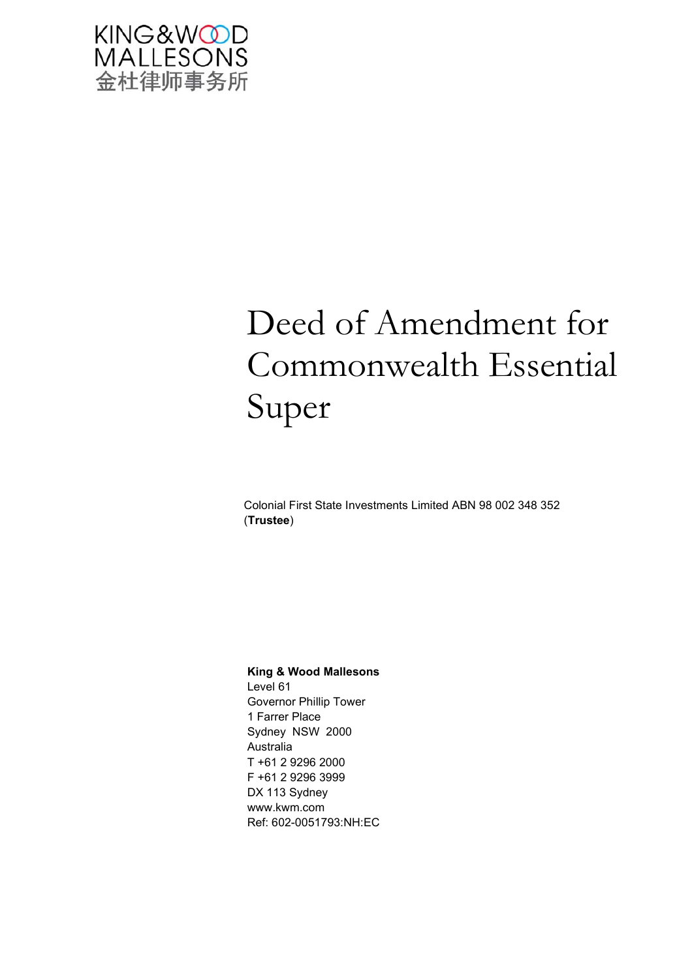

# Deed of Amendment for Commonwealth Essential Super

Colonial First State Investments Limited ABN 98 002 348 352 (**Trustee**)

#### **King & Wood Mallesons**

Level 61 Governor Phillip Tower 1 Farrer Place Sydney NSW 2000 Australia T +61 2 9296 2000 F +61 2 9296 3999 DX 113 Sydney www.kwm.com Ref: 602-0051793:NH:EC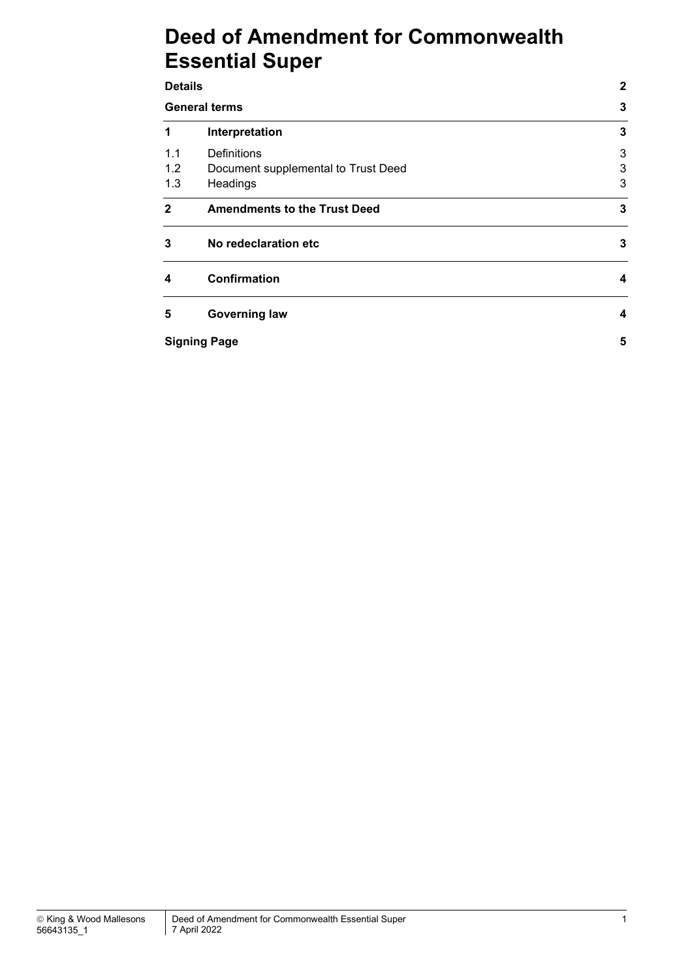# **Deed of Amendment for Commonwealth Essential Super**

| <b>Details</b> | $\mathbf{2}$                        |              |  |
|----------------|-------------------------------------|--------------|--|
|                | <b>General terms</b>                | $\mathbf{3}$ |  |
| 1              | Interpretation                      | 3            |  |
| 1.1            | <b>Definitions</b>                  | 3            |  |
| 1.2            | Document supplemental to Trust Deed | 3            |  |
| 1.3            | Headings                            | 3            |  |
| $\mathbf{2}$   | <b>Amendments to the Trust Deed</b> | $\mathbf{3}$ |  |
| 3              | No redeclaration etc                | 3            |  |
| 4              | <b>Confirmation</b>                 | 4            |  |
| 5              | <b>Governing law</b>                | 4            |  |
|                | <b>Signing Page</b>                 | 5            |  |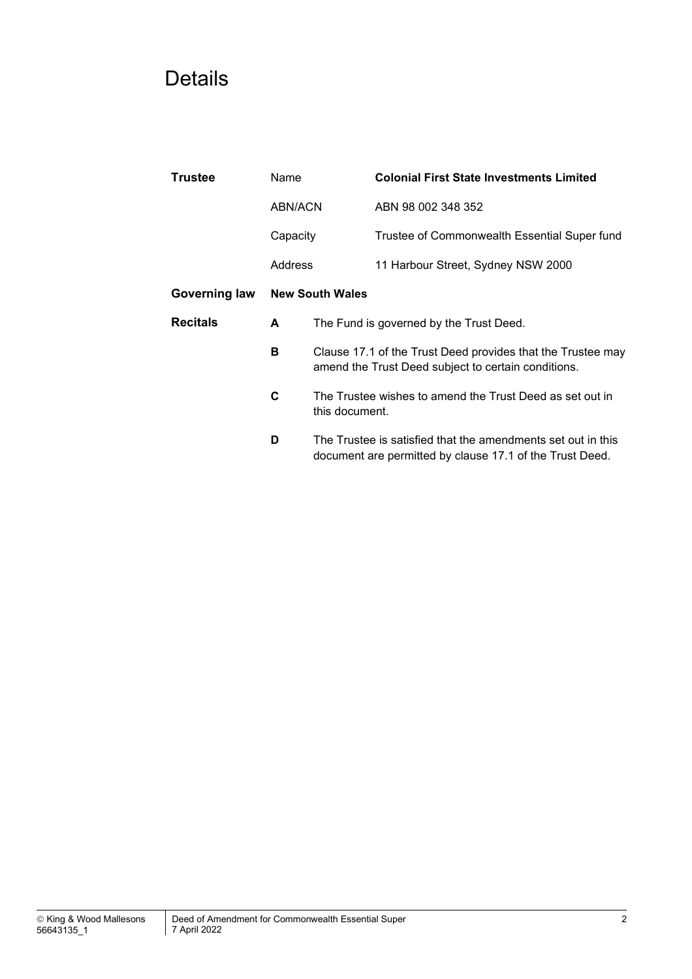# Details

| Trustee                                 | Name     |                                                                                                                    | <b>Colonial First State Investments Limited</b>                                                                          |  |
|-----------------------------------------|----------|--------------------------------------------------------------------------------------------------------------------|--------------------------------------------------------------------------------------------------------------------------|--|
|                                         | ABN/ACN  |                                                                                                                    | ABN 98 002 348 352                                                                                                       |  |
|                                         | Capacity |                                                                                                                    | Trustee of Commonwealth Essential Super fund                                                                             |  |
|                                         | Address  |                                                                                                                    | 11 Harbour Street, Sydney NSW 2000                                                                                       |  |
| Governing law<br><b>New South Wales</b> |          |                                                                                                                    |                                                                                                                          |  |
| <b>Recitals</b>                         | A        | The Fund is governed by the Trust Deed.                                                                            |                                                                                                                          |  |
|                                         | в        | Clause 17.1 of the Trust Deed provides that the Trustee may<br>amend the Trust Deed subject to certain conditions. |                                                                                                                          |  |
|                                         | C        | this document.                                                                                                     | The Trustee wishes to amend the Trust Deed as set out in                                                                 |  |
|                                         | D        |                                                                                                                    | The Trustee is satisfied that the amendments set out in this<br>document are permitted by clause 17.1 of the Trust Deed. |  |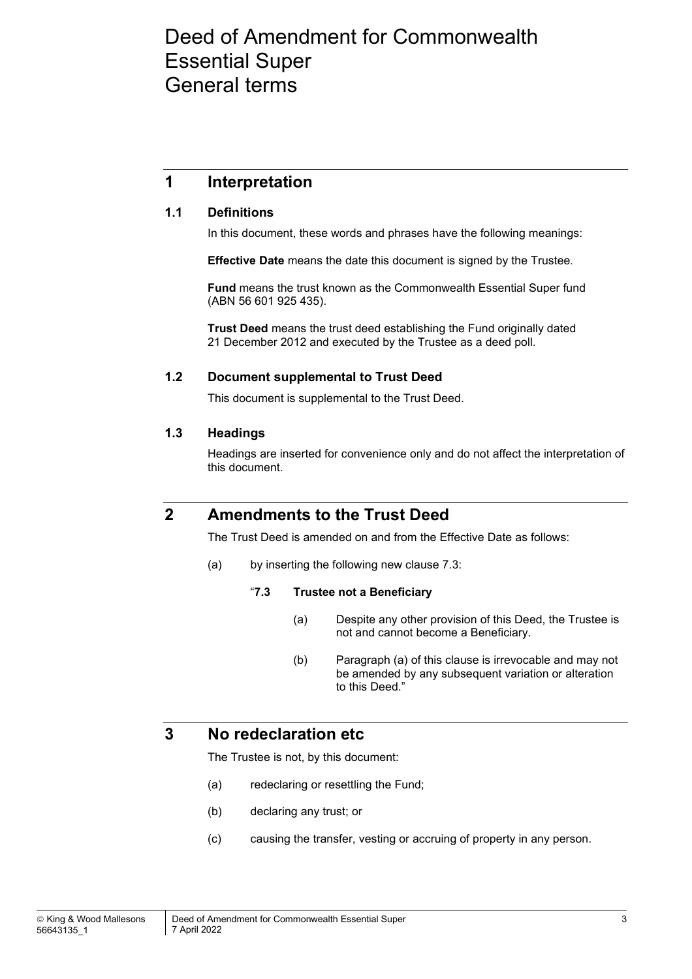# Deed of Amendment for Commonwealth Essential Super General terms

### **1 Interpretation**

#### **1.1 Definitions**

In this document, these words and phrases have the following meanings:

**Effective Date** means the date this document is signed by the Trustee.

**Fund** means the trust known as the Commonwealth Essential Super fund (ABN 56 601 925 435).

**Trust Deed** means the trust deed establishing the Fund originally dated 21 December 2012 and executed by the Trustee as a deed poll.

#### **1.2 Document supplemental to Trust Deed**

This document is supplemental to the Trust Deed.

#### **1.3 Headings**

Headings are inserted for convenience only and do not affect the interpretation of this document.

### **2 Amendments to the Trust Deed**

The Trust Deed is amended on and from the Effective Date as follows:

(a) by inserting the following new clause 7.3:

#### "**7.3 Trustee not a Beneficiary**

- (a) Despite any other provision of this Deed, the Trustee is not and cannot become a Beneficiary.
- (b) Paragraph (a) of this clause is irrevocable and may not be amended by any subsequent variation or alteration to this Deed."

### **3 No redeclaration etc**

The Trustee is not, by this document:

- (a) redeclaring or resettling the Fund;
- (b) declaring any trust; or
- (c) causing the transfer, vesting or accruing of property in any person.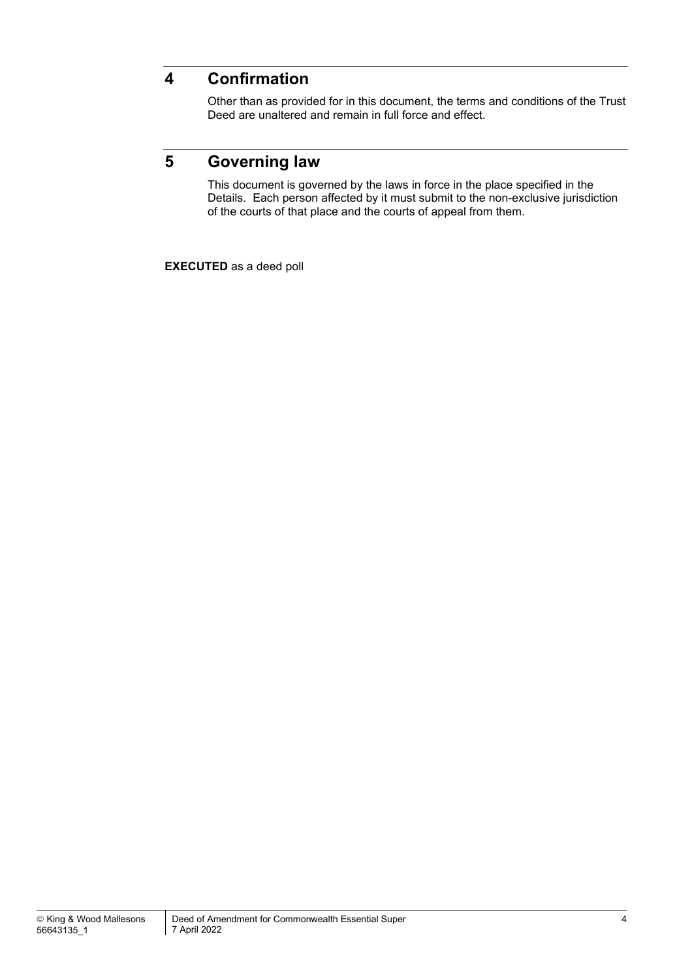### **4 Confirmation**

Other than as provided for in this document, the terms and conditions of the Trust Deed are unaltered and remain in full force and effect.

## **5 Governing law**

This document is governed by the laws in force in the place specified in the Details. Each person affected by it must submit to the non-exclusive jurisdiction of the courts of that place and the courts of appeal from them.

**EXECUTED** as a deed poll